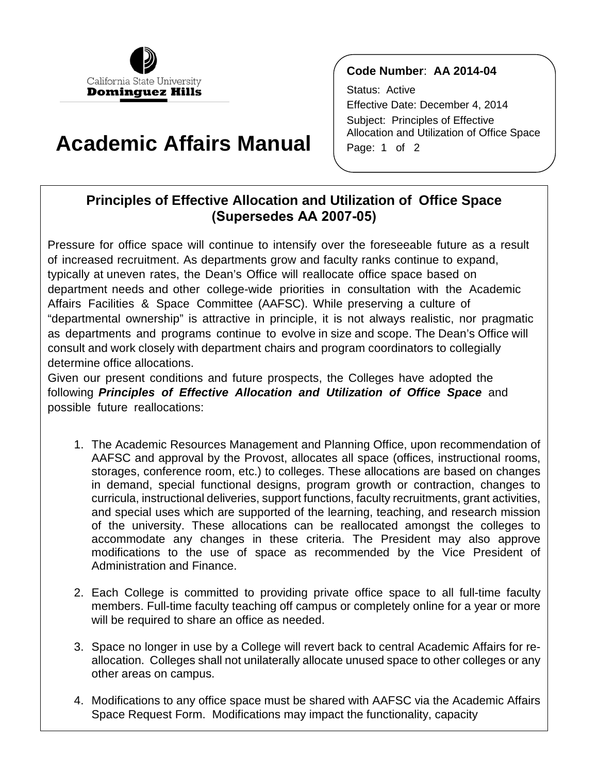

## **Academic Affairs Manual**

## **Code Number**: **AA 2014-04**

Status: Active Effective Date: December 4, 2014 Subject: Principles of Effective Allocation and Utilization of Office Space Page: 1 of 2

## **(Supersedes AA 2007-05) Principles of Effective Allocation and Utilization of Office Space**

 Affairs Facilities & Space Committee (AAFSC). While preserving a culture of Pressure for office space will continue to intensify over the foreseeable future as a result of increased recruitment. As departments grow and faculty ranks continue to expand, typically at uneven rates, the Dean's Office will reallocate office space based on department needs and other college-wide priorities in consultation with the Academic "departmental ownership" is attractive in principle, it is not always realistic, nor pragmatic as departments and programs continue to evolve in size and scope. The Dean's Office will consult and work closely with department chairs and program coordinators to collegially determine office allocations.

Given our present conditions and future prospects, the Colleges have adopted the following *Principles of Effective Allocation and Utilization of Office Space* and possible future reallocations:

- curricula, instructional deliveries, support functions, faculty recruitments, grant activities, and special uses which are supported of the learning, teaching, and research mission modifications to the use of space as recommended by the Vice President of 1. The Academic Resources Management and Planning Office, upon recommendation of AAFSC and approval by the Provost, allocates all space (offices, instructional rooms, storages, conference room, etc.) to colleges. These allocations are based on changes in demand, special functional designs, program growth or contraction, changes to of the university. These allocations can be reallocated amongst the colleges to accommodate any changes in these criteria. The President may also approve Administration and Finance.
- members. Full-time faculty teaching off campus or completely online for a year or more 2. Each College is committed to providing private office space to all full-time faculty will be required to share an office as needed.
- 3. Space no longer in use by a College will revert back to central Academic Affairs for reallocation. Colleges shall not unilaterally allocate unused space to other colleges or any other areas on campus.
- 4. Modifications to any office space must be shared with AAFSC via the Academic Affairs Space Request Form. Modifications may impact the functionality, capacity